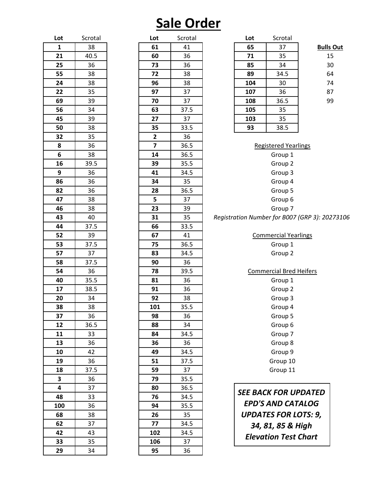# **Sale Order**

| Lot          | Scrotal | Lot                     | Scrot |
|--------------|---------|-------------------------|-------|
| $\mathbf{1}$ | 38      | 61                      | 41    |
| 21           | 40.5    | 60                      | 36    |
| 25           | 36      | 73                      | 36    |
| 55           | 38      | 72                      | 38    |
| 24           | 38      | 96                      | 38    |
| 22           | 35      | 97                      | 37    |
| 69           | 39      | 70                      | 37    |
| 56           | 34      | 63                      | 37.   |
| 45           | 39      | 27                      | 37    |
| 50           | 38      | 35                      | 33.   |
| 32           | 35      | $\overline{\mathbf{2}}$ | 36    |
| 8            | 36      | $\overline{\mathbf{z}}$ | 36.   |
| 6            | 38      | 14                      | 36.   |
| 16           | 39.5    | 39                      | 35.   |
| 9            | 36      | 41                      | 34.   |
| 86           | 36      | 34                      | 35    |
| 82           | 36      | 28                      | 36.   |
| 47           | 38      | 5                       | 37    |
| 46           | 38      | 23                      | 39    |
| 43           | 40      | 31                      | 35    |
| 44           | 37.5    | 66                      | 33.   |
| 52           | 39      | 67                      | 41    |
| 53           | 37.5    | 75                      | 36.   |
| 57           | 37      | 83                      | 34.   |
| 58           | 37.5    | 90                      | 36    |
| 54           | 36      | 78                      | 39.   |
| 40           | 35.5    | 81                      | 36    |
| 17           | 38.5    | 91                      | 36    |
| 20           | 34      | 92                      | 38    |
| 38           | 38      | 101                     | 35.   |
| 37           | 36      | 98                      | 36    |
| 12           | 36.5    | 88                      | 34    |
| 11           | 33      | 84                      | 34.   |
| 13           | 36      | 36                      | 36    |
| 10           | 42      | 49                      | 34.   |
| 19           | 36      | 51                      | 37.   |
| 18           | 37.5    | 59                      | 37    |
| 3            | 36      | 79                      | 35.   |
| 4            | 37      | 80                      | 36.   |
| 48           | 33      | 76                      | 34.   |
| 100          | 36      | 94                      | 35.   |
| 68           | 38      | 26                      | 35    |
| 62           | 37      | 77                      | 34.   |
| 42           | 43      | 102                     | 34.   |
| 33           | 35      | 106                     | 37    |
| 29           | 34      | 95                      | 36    |

| Lot          | Scrotal | Lot                     | Scrotal | Lot                                | Scrotal               |
|--------------|---------|-------------------------|---------|------------------------------------|-----------------------|
| $\mathbf{1}$ | 38      | 61                      | 41      | 65                                 | 37                    |
| 21           | 40.5    | 60                      | 36      | 71                                 | 35                    |
| 25           | 36      | 73                      | 36      | 85                                 | 34                    |
| 55           | 38      | 72                      | 38      | 89                                 | 34.5                  |
| 24           | 38      | 96                      | 38      | 104                                | 30                    |
| 22           | 35      | 97                      | 37      | 107                                | 36                    |
| 69           | 39      | 70                      | 37      | 108                                | 36.5                  |
| 56           | 34      | 63                      | 37.5    | 105                                | 35                    |
| 45           | 39      | 27                      | 37      | 103                                | 35                    |
| 50           | 38      | 35                      | 33.5    | 93                                 | 38.5                  |
| 32           | 35      | $\mathbf{2}$            | 36      |                                    |                       |
| 8            | 36      | $\overline{\mathbf{z}}$ | 36.5    |                                    | <b>Registered Ye</b>  |
| 6            | 38      | 14                      | 36.5    |                                    | Group 1               |
| 16           | 39.5    | 39                      | 35.5    |                                    | Group 2               |
| 9            | 36      | 41                      | 34.5    |                                    | Group 3               |
| 86           | 36      | 34                      | 35      |                                    | Group <sup>2</sup>    |
| 82           | 36      | 28                      | 36.5    |                                    | Group 5               |
| 47           | 38      | 5                       | 37      |                                    | Group 6               |
| 46           | 38      | 23                      | 39      |                                    | Group 7               |
| 43           | 40      | 31                      | 35      | <b>Registration Number for BOC</b> |                       |
| 44           | 37.5    | 66                      | 33.5    |                                    |                       |
| 52           | 39      | 67                      | 41      |                                    | Commercial Y          |
| 53           | 37.5    | 75                      | 36.5    |                                    | Group 1               |
| 57           | 37      | 83                      | 34.5    |                                    | Group 2               |
| 58           | 37.5    | 90                      | 36      |                                    |                       |
| 54           | 36      | 78                      | 39.5    |                                    | <b>Commercial Bre</b> |
| 40           | 35.5    | 81                      | 36      |                                    | Group 1               |
| 17           | 38.5    | 91                      | 36      |                                    | Group 2               |
| 20           | 34      | 92                      | 38      |                                    | Group 3               |
| 38           | 38      | 101                     | 35.5    |                                    | Group <sup>2</sup>    |
| 37           | 36      | 98                      | 36      |                                    | Group 5               |
| 12           | 36.5    | 88                      | 34      |                                    | Group 6               |
| 11           | 33      | 84                      | 34.5    |                                    | Group 7               |
| 13           | 36      | 36                      | 36      |                                    | Group 8               |
| 10           | 42      | 49                      | 34.5    |                                    | Group 9               |
| 19           | 36      | 51                      | 37.5    |                                    | Group 1               |
| 18           | 37.5    | 59                      | 37      |                                    | Group 1               |
| 3            | 36      | 79                      | 35.5    |                                    |                       |
| 4            | 37      | 80                      | 36.5    | <b>SEE BACK FOR I</b>              |                       |
| 48           | 33      | 76                      | 34.5    |                                    |                       |
| 100          | 36      | 94                      | 35.5    |                                    | <b>EPD'S AND CA</b>   |
| 68           | 38      | 26                      | 35      |                                    | <b>UPDATES FOR</b>    |
| 62           | 37      | 77                      | 34.5    |                                    | 34, 81, 85 &          |
| 42           | 43      | 102                     | 34.5    |                                    | <b>Elevation Tes</b>  |
| 33           | 35      | 106                     | 37      |                                    |                       |
| 29           | 34      | 95                      | 36      |                                    |                       |

| Lot | Scrotal |                  |
|-----|---------|------------------|
| 65  | 37      | <b>Bulls Out</b> |
| 71  | 35      | 15               |
| 85  | 34      | 30               |
| 89  | 34.5    | 64               |
| 104 | 30      | 74               |
| 107 | 36      | 87               |
| 108 | 36.5    | 99               |
| 105 | 35      |                  |
| 103 | 35      |                  |
| 93  | 38.5    |                  |
|     |         |                  |

| כּטב | ၁၁                             |                                                |
|------|--------------------------------|------------------------------------------------|
| 93   | 38.5                           |                                                |
|      |                                |                                                |
|      | <b>Registered Yearlings</b>    |                                                |
|      | Group 1                        |                                                |
|      | Group 2                        |                                                |
|      | Group 3                        |                                                |
|      | Group 4                        |                                                |
|      | Group 5                        |                                                |
|      | Group 6                        |                                                |
|      | Group 7                        |                                                |
|      |                                | Registration Number for B007 (GRP 3): 20273106 |
|      |                                |                                                |
|      | <b>Commercial Yearlings</b>    |                                                |
|      | Group 1                        |                                                |
|      | Group 2                        |                                                |
|      |                                |                                                |
|      | <b>Commercial Bred Heifers</b> |                                                |
|      | Group 1                        |                                                |
|      | Group 2                        |                                                |
|      | Group 3                        |                                                |
|      | Group 4                        |                                                |
|      | Group 5                        |                                                |
|      | Group 6                        |                                                |
|      | Group 7                        |                                                |
|      | Group 8                        |                                                |
|      | Group 9                        |                                                |
|      | Group 10                       |                                                |
|      | Group 11                       |                                                |

### *SEE BACK FOR UPDATED EPD'S AND CATALOG UPDATES FOR LOTS: 9, 34, 81, 85 & High Elevation Test Chart*